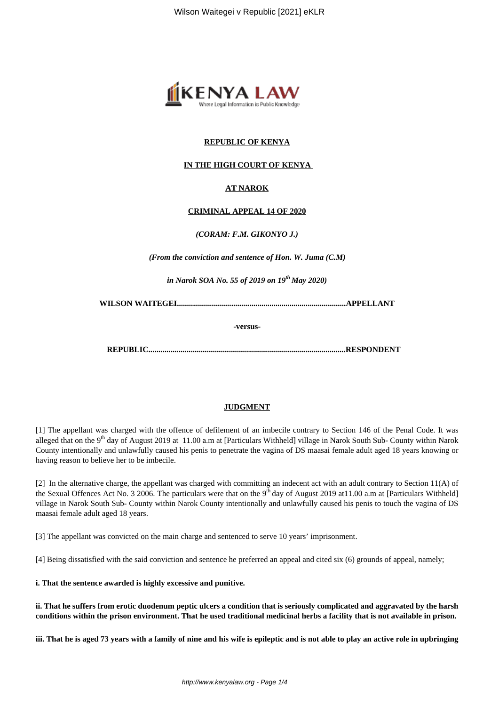

# **REPUBLIC OF KENYA**

## **IN THE HIGH COURT OF KENYA**

## **AT NAROK**

### **CRIMINAL APPEAL 14 OF 2020**

*(CORAM: F.M. GIKONYO J.)*

*(From the conviction and sentence of Hon. W. Juma (C.M)*

*in Narok SOA No. 55 of 2019 on 19th May 2020)*

**WILSON WAITEGEI....................................................................................APPELLANT**

**-versus-**

**REPUBLIC..................................................................................................RESPONDENT**

## **JUDGMENT**

[1] The appellant was charged with the offence of defilement of an imbecile contrary to Section 146 of the Penal Code. It was alleged that on the 9<sup>th</sup> day of August 2019 at 11.00 a.m at [Particulars Withheld] village in Narok South Sub- County within Narok County intentionally and unlawfully caused his penis to penetrate the vagina of DS maasai female adult aged 18 years knowing or having reason to believe her to be imbecile.

[2] In the alternative charge, the appellant was charged with committing an indecent act with an adult contrary to Section 11(A) of the Sexual Offences Act No. 3 2006. The particulars were that on the  $9<sup>th</sup>$  day of August 2019 at11.00 a.m at [Particulars Withheld] village in Narok South Sub- County within Narok County intentionally and unlawfully caused his penis to touch the vagina of DS maasai female adult aged 18 years.

[3] The appellant was convicted on the main charge and sentenced to serve 10 years' imprisonment.

[4] Being dissatisfied with the said conviction and sentence he preferred an appeal and cited six (6) grounds of appeal, namely;

**i. That the sentence awarded is highly excessive and punitive.**

**ii. That he suffers from erotic duodenum peptic ulcers a condition that is seriously complicated and aggravated by the harsh conditions within the prison environment. That he used traditional medicinal herbs a facility that is not available in prison.**

**iii. That he is aged 73 years with a family of nine and his wife is epileptic and is not able to play an active role in upbringing**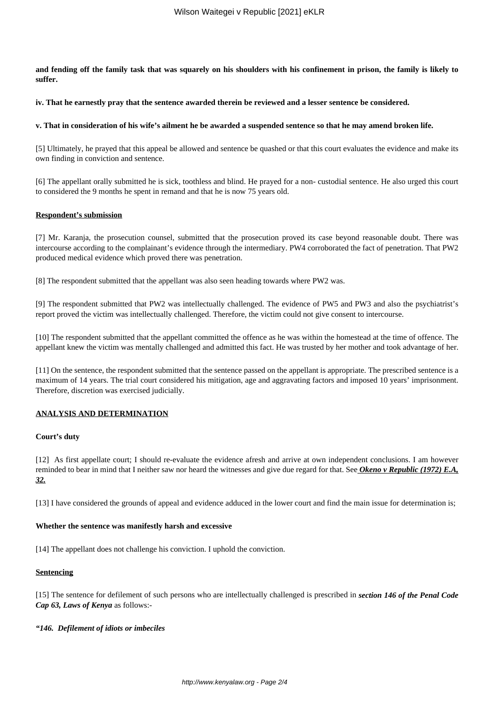**and fending off the family task that was squarely on his shoulders with his confinement in prison, the family is likely to suffer.**

**iv. That he earnestly pray that the sentence awarded therein be reviewed and a lesser sentence be considered.**

#### **v. That in consideration of his wife's ailment he be awarded a suspended sentence so that he may amend broken life.**

[5] Ultimately, he prayed that this appeal be allowed and sentence be quashed or that this court evaluates the evidence and make its own finding in conviction and sentence.

[6] The appellant orally submitted he is sick, toothless and blind. He prayed for a non- custodial sentence. He also urged this court to considered the 9 months he spent in remand and that he is now 75 years old.

#### **Respondent's submission**

[7] Mr. Karanja, the prosecution counsel, submitted that the prosecution proved its case beyond reasonable doubt. There was intercourse according to the complainant's evidence through the intermediary. PW4 corroborated the fact of penetration. That PW2 produced medical evidence which proved there was penetration.

[8] The respondent submitted that the appellant was also seen heading towards where PW2 was.

[9] The respondent submitted that PW2 was intellectually challenged. The evidence of PW5 and PW3 and also the psychiatrist's report proved the victim was intellectually challenged. Therefore, the victim could not give consent to intercourse.

[10] The respondent submitted that the appellant committed the offence as he was within the homestead at the time of offence. The appellant knew the victim was mentally challenged and admitted this fact. He was trusted by her mother and took advantage of her.

[11] On the sentence, the respondent submitted that the sentence passed on the appellant is appropriate. The prescribed sentence is a maximum of 14 years. The trial court considered his mitigation, age and aggravating factors and imposed 10 years' imprisonment. Therefore, discretion was exercised judicially.

### **ANALYSIS AND DETERMINATION**

### **Court's duty**

[12] As first appellate court; I should re-evaluate the evidence afresh and arrive at own independent conclusions. I am however reminded to bear in mind that I neither saw nor heard the witnesses and give due regard for that. See *Okeno v Republic (1972) E.A, 32.*

[13] I have considered the grounds of appeal and evidence adduced in the lower court and find the main issue for determination is;

### **Whether the sentence was manifestly harsh and excessive**

[14] The appellant does not challenge his conviction. I uphold the conviction.

### **Sentencing**

[15] The sentence for defilement of such persons who are intellectually challenged is prescribed in *section 146 of the Penal Code Cap 63, Laws of Kenya* as follows:-

### *"146. Defilement of idiots or imbeciles*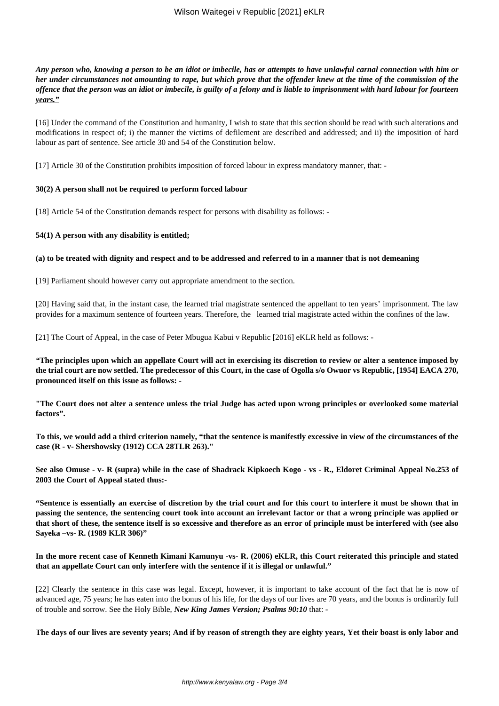*Any person who, knowing a person to be an idiot or imbecile, has or attempts to have unlawful carnal connection with him or her under circumstances not amounting to rape, but which prove that the offender knew at the time of the commission of the offence that the person was an idiot or imbecile, is guilty of a felony and is liable to imprisonment with hard labour for fourteen years."*

[16] Under the command of the Constitution and humanity, I wish to state that this section should be read with such alterations and modifications in respect of; i) the manner the victims of defilement are described and addressed; and ii) the imposition of hard labour as part of sentence. See article 30 and 54 of the Constitution below.

[17] Article 30 of the Constitution prohibits imposition of forced labour in express mandatory manner, that: -

### **30(2) A person shall not be required to perform forced labour**

[18] Article 54 of the Constitution demands respect for persons with disability as follows: -

#### **54(1) A person with any disability is entitled;**

#### **(a) to be treated with dignity and respect and to be addressed and referred to in a manner that is not demeaning**

[19] Parliament should however carry out appropriate amendment to the section.

[20] Having said that, in the instant case, the learned trial magistrate sentenced the appellant to ten years' imprisonment. The law provides for a maximum sentence of fourteen years. Therefore, the learned trial magistrate acted within the confines of the law.

[21] The Court of Appeal, in the case of Peter Mbugua Kabui v Republic [2016] eKLR held as follows: -

*"***The principles upon which an appellate Court will act in exercising its discretion to review or alter a sentence imposed by the trial court are now settled. The predecessor of this Court, in the case of Ogolla s/o Owuor vs Republic, [1954] EACA 270, pronounced itself on this issue as follows: -**

**"The Court does not alter a sentence unless the trial Judge has acted upon wrong principles or overlooked some material factors".**

**To this, we would add a third criterion namely, "that the sentence is manifestly excessive in view of the circumstances of the case (R - v- Shershowsky (1912) CCA 28TLR 263)."**

**See also Omuse - v- R (supra) while in the case of Shadrack Kipkoech Kogo - vs - R., Eldoret Criminal Appeal No.253 of 2003 the Court of Appeal stated thus:-**

**"Sentence is essentially an exercise of discretion by the trial court and for this court to interfere it must be shown that in passing the sentence, the sentencing court took into account an irrelevant factor or that a wrong principle was applied or that short of these, the sentence itself is so excessive and therefore as an error of principle must be interfered with (see also Sayeka –vs- R. (1989 KLR 306)"**

### **In the more recent case of Kenneth Kimani Kamunyu -vs- R. (2006) eKLR, this Court reiterated this principle and stated that an appellate Court can only interfere with the sentence if it is illegal or unlawful."**

[22] Clearly the sentence in this case was legal. Except, however, it is important to take account of the fact that he is now of advanced age, 75 years; he has eaten into the bonus of his life, for the days of our lives are 70 years, and the bonus is ordinarily full of trouble and sorrow. See the Holy Bible, *New King James Version; Psalms 90:10* that: -

**The days of our lives are seventy years; And if by reason of strength they are eighty years, Yet their boast is only labor and**